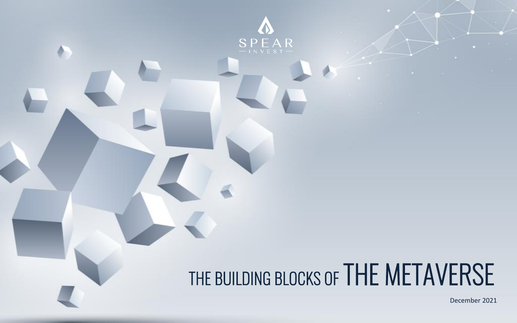

# THE BUILDING BLOCKS OF THE METAVERSE

 $\cdot$ December 2021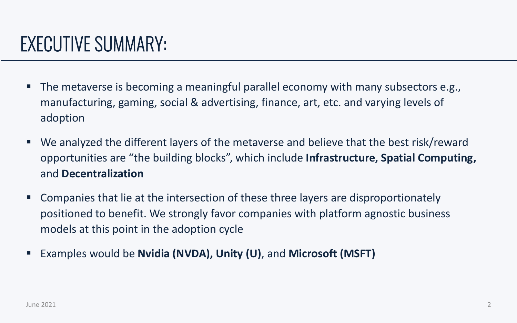- The metaverse is becoming a meaningful parallel economy with many subsectors e.g., manufacturing, gaming, social & advertising, finance, art, etc. and varying levels of adoption
- We analyzed the different layers of the metaverse and believe that the best risk/reward opportunities are "the building blocks", which include **Infrastructure, Spatial Computing,**  and **Decentralization**
- Companies that lie at the intersection of these three layers are disproportionately positioned to benefit. We strongly favor companies with platform agnostic business models at this point in the adoption cycle
- Examples would be **Nvidia (NVDA), Unity (U)**, and Microsoft (MSFT)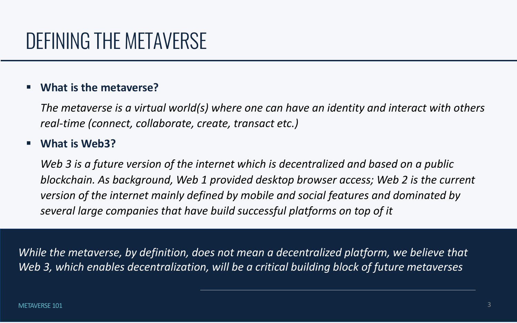# DEFINING THE METAVERSE

### **What is the metaverse?**

*The metaverse is a virtual world(s) where one can have an identity and interact with others real-time (connect, collaborate, create, transact etc.)*

### **What is Web3?**

While the metaverse, by definition, does not mean a decentralized platform, we believe that *Web 3, which enables decentralization, will be a critical building block of future metaverses* 

*Web 3 is a future version of the internet which is decentralized and based on a public blockchain. As background, Web 1 provided desktop browser access; Web 2 is the current version of the internet mainly defined by mobile and social features and dominated by several large companies that have build successful platforms on top of it*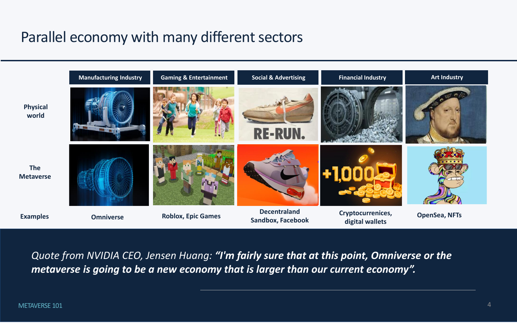### Parallel economy with many different sectors







*Quote from NVIDIA CEO, Jensen Huang: "I'm fairly sure that at this point, Omniverse or the metaverse is going to be a new economy that is larger than our current economy".*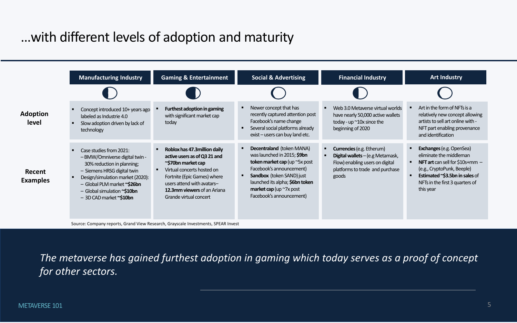### …with different levels of adoption and maturity

|                           | <b>Manufacturing Industry</b>                                                                                                                                                                                                                       | <b>Gaming &amp; Entertainment</b>                                                                                                                                                                                                       | <b>Social &amp; Advertising</b>                                                                                                                                                                                                                                               | <b>Financial Industry</b>                                                                                                                           | <b>Art Industry</b>                                                                                                                                                                                           |
|---------------------------|-----------------------------------------------------------------------------------------------------------------------------------------------------------------------------------------------------------------------------------------------------|-----------------------------------------------------------------------------------------------------------------------------------------------------------------------------------------------------------------------------------------|-------------------------------------------------------------------------------------------------------------------------------------------------------------------------------------------------------------------------------------------------------------------------------|-----------------------------------------------------------------------------------------------------------------------------------------------------|---------------------------------------------------------------------------------------------------------------------------------------------------------------------------------------------------------------|
|                           |                                                                                                                                                                                                                                                     |                                                                                                                                                                                                                                         |                                                                                                                                                                                                                                                                               |                                                                                                                                                     |                                                                                                                                                                                                               |
| <b>Adoption</b><br>level  | Concept introduced 10+ years ago<br>labeled as Industrie 4.0<br>Slow adoption driven by lack of<br>technology                                                                                                                                       | Furthest adoption in gaming<br>with significant market cap<br>today                                                                                                                                                                     | Newer concept that has<br>recently captured attention post<br>Facebook's name change<br>Several social platforms already<br>$exist - users can buy land etc.$                                                                                                                 | Web 3.0 Metaverse virtual worlds<br>have nearly 50,000 active wallets<br>today - up $\sim$ 10x since the<br>beginning of 2020                       | Art in the form of NFTs is a<br>relatively new concept allowing<br>artists to sell art online with -<br>NFT part enabling provenance<br>and identification                                                    |
| Recent<br><b>Examples</b> | Case studies from 2021:<br>- BMW/Omniverse digital twin -<br>30% reduction in planning;<br>- Siemens HRSG digital twin<br>Design/simulation market (2020):<br>- Global PLM market ~\$26bn<br>- Global simulation ~\$10bn<br>- 3D CAD market ~\$10bn | Roblox has 47.3 million daily<br>active users as of Q3 21 and<br>~\$70bn market cap<br>Virtual concerts hosted on<br>Fortnite (Epic Games) where<br>users attend with avatars-<br>12.3mm viewers of an Ariana<br>Grande virtual concert | <b>Decentraland (token MANA)</b><br>was launched in 2015; \$9bn<br>token market cap (up $\sim$ 5x post<br>Facebook's announcement)<br><b>Sandbox</b> (token SAND) just<br>launched its alpha; \$6bn token<br><b>market cap</b> (up $\sim$ 7x post<br>Facebook's announcement) | <b>Currencies (e.g. Etherum)</b><br>Digital wallets - (e.g Metamask,<br>Flow) enabling users on digital<br>platforms to trade and purchase<br>goods | <b>Exchanges (e.g. OpenSea)</b><br>eliminate the middleman<br>NFT art can sell for $$10s+mm-$<br>(e.g., CryptoPunk, Beeple)<br>Estimated ~\$3.5bn in sales of<br>NFTs in the first 3 quarters of<br>this year |

Source: Company reports, Grand View Research, Grayscale Investments, SPEAR Invest

*The metaverse has gained furthest adoption in gaming which today serves as a proof of concept for other sectors.*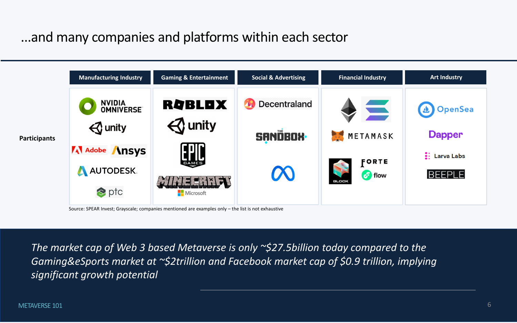6

### ...and many companies and platforms within each sector

*The market cap of Web 3 based Metaverse is only ~\$27.5billion today compared to the Gaming&eSports market at ~\$2trillion and Facebook market cap of \$0.9 trillion, implying significant growth potential* 



Source: SPEAR Invest; Grayscale; companies mentioned are examples only – the list is not exhaustive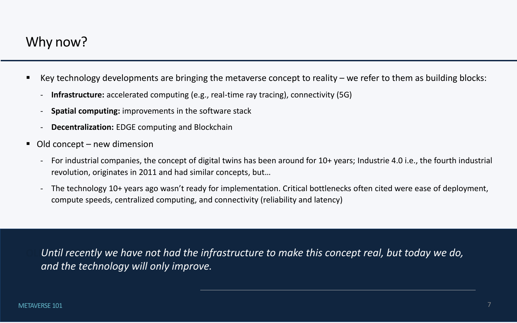- Key technology developments are bringing the metaverse concept to reality we refer to them as building blocks:
	- **Infrastructure:** accelerated computing (e.g., real-time ray tracing), connectivity (5G)
	- **Spatial computing:** improvements in the software stack
	- **Decentralization:** EDGE computing and Blockchain
- Old concept new dimension
	- For industrial companies, the concept of digital twins has been around for 10+ years; Industrie 4.0 i.e., the fourth industrial revolution, originates in 2011 and had similar concepts, but…
	- The technology 10+ years ago wasn't ready for implementation. Critical bottlenecks often cited were ease of deployment, compute speeds, centralized computing, and connectivity (reliability and latency)

Until recently we have not had the infrastructure to make this concept real, but today we do, *and the technology will only improve.* 

### Why now?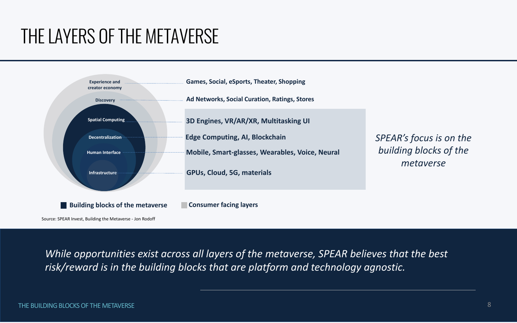# THE LAYERS OF THE METAVERSE



*While opportunities exist across all layers of the metaverse, SPEAR believes that the best risk/reward is in the building blocks that are platform and technology agnostic.* 

### *SPEAR's focus is on the building blocks of the metaverse*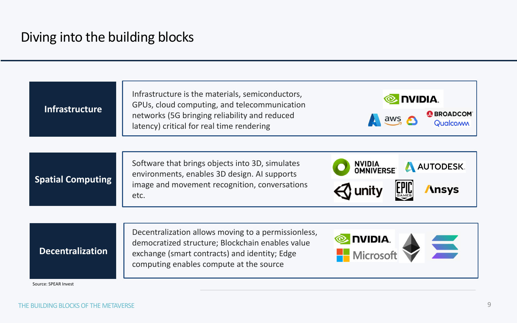### Diving into the building blocks

| <b>Infrastructure</b>    | Infrastructure is the materials, semiconductors,<br>GPUs, cloud computing, and telecommunication<br>networks (5G bringing reliability and reduced<br>latency) critical for real time rendering |  |
|--------------------------|------------------------------------------------------------------------------------------------------------------------------------------------------------------------------------------------|--|
|                          |                                                                                                                                                                                                |  |
| <b>Spatial Computing</b> | Software that brings objects into 3D, simulates<br>environments, enables 3D design. Al supports                                                                                                |  |
|                          | image and movement recognition, conversations<br>etc.                                                                                                                                          |  |
|                          |                                                                                                                                                                                                |  |
|                          | Decentralization allows moving to a permissionless,<br>democratized structure; Blockchain enables value                                                                                        |  |
| <b>Decentralization</b>  | exchange (smart contracts) and identity; Edge<br>computing enables compute at the source                                                                                                       |  |
| Source: SPEAR Invest     |                                                                                                                                                                                                |  |





**Ansys** 

**EPID**<br>GAMES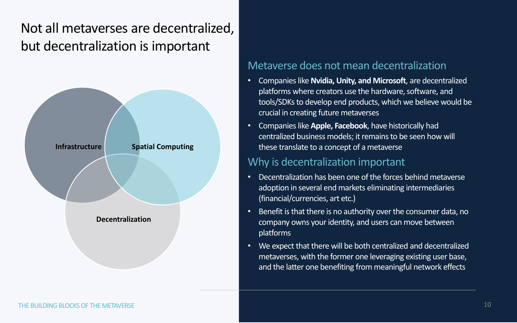### Not all metaverses are decentralized, but decentralization is important

### Metaverse does not mean decentralization

tools/SDKs to develop end products, which we believe would be

- Companies like **Nvidia, Unity, and Microsoft**, are decentralized platforms where creators use the hardware, software, and crucial in creating future metaverses
- Companies like **Apple, Facebook**, have historically had centralized business models; it remains to be seen how will these translate to a concept of a metaverse

### Why is decentralization important

- Decentralization has been one of the forces behind metaverse adoption in several end markets eliminating intermediaries (financial/currencies, art etc.)
- Benefit is that there is no authority over the consumer data, no company owns your identity, and users can move between platforms
- We expect that there will be both centralized and decentralized metaverses, with the former one leveraging existing user base, and the latter one benefiting from meaningful network effects